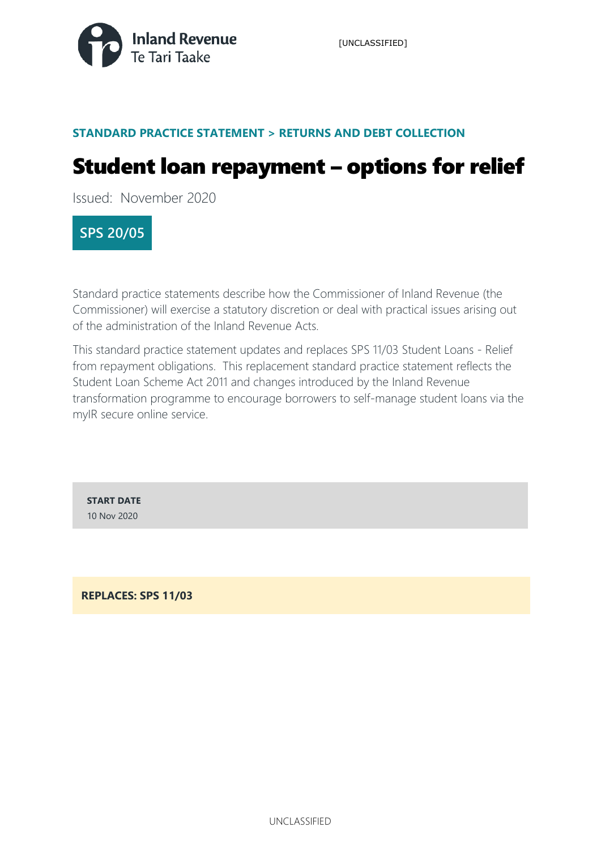

### **STANDARD PRACTICE STATEMENT > RETURNS AND DEBT COLLECTION**

# Student loan repayment – options for relief

Issued: November 2020

### **SPS 20/05**

Standard practice statements describe how the Commissioner of Inland Revenue (the Commissioner) will exercise a statutory discretion or deal with practical issues arising out of the administration of the Inland Revenue Acts.

This standard practice statement updates and replaces SPS 11/03 Student Loans - Relief from repayment obligations. This replacement standard practice statement reflects the Student Loan Scheme Act 2011 and changes introduced by the Inland Revenue transformation programme to encourage borrowers to self-manage student loans via the myIR secure online service.

**START DATE** 10 Nov 2020

**REPLACES: SPS 11/03**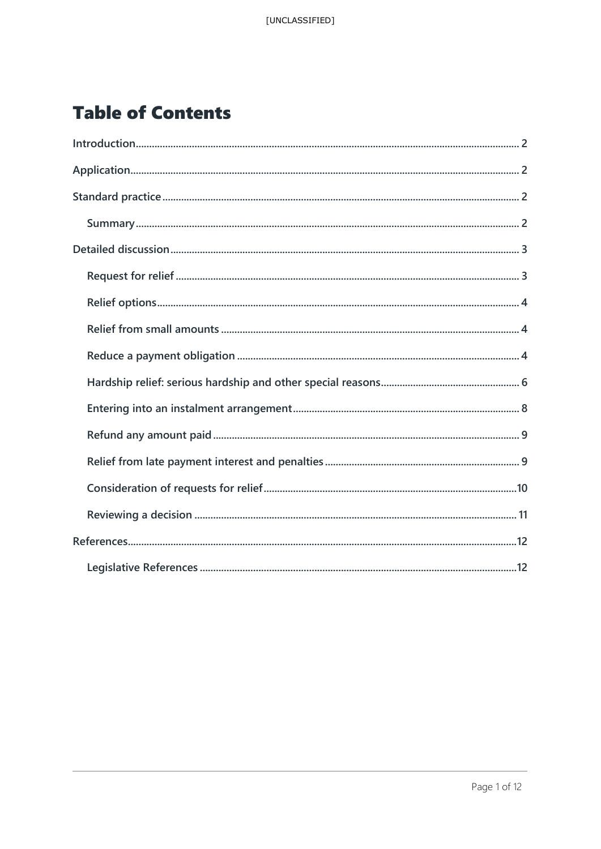# **Table of Contents**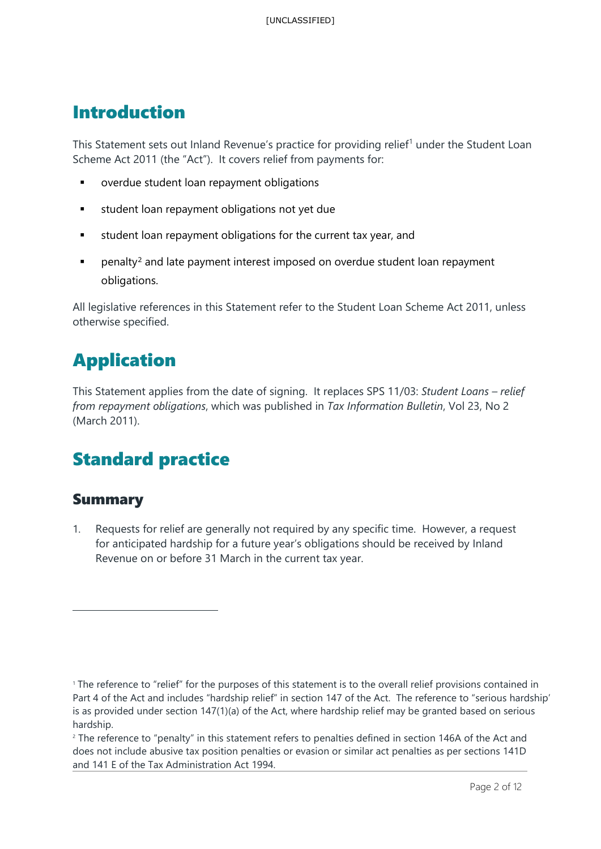### <span id="page-2-0"></span>Introduction

This Statement sets out Inland Revenue's practice for providing relief<sup>[1](#page-2-4)</sup> under the Student Loan Scheme Act 2011 (the "Act"). It covers relief from payments for:

- overdue student loan repayment obligations
- **student loan repayment obligations not yet due**
- **student loan repayment obligations for the current tax year, and**
- **Paramalty<sup>[2](#page-2-5)</sup>** and late payment interest imposed on overdue student loan repayment obligations.

All legislative references in this Statement refer to the Student Loan Scheme Act 2011, unless otherwise specified.

## <span id="page-2-1"></span>Application

This Statement applies from the date of signing. It replaces SPS 11/03: *Student Loans – relief from repayment obligations*, which was published in *Tax Information Bulletin*, Vol 23, No 2 (March 2011).

## <span id="page-2-2"></span>Standard practice

### <span id="page-2-3"></span>Summary

1. Requests for relief are generally not required by any specific time. However, a request for anticipated hardship for a future year's obligations should be received by Inland Revenue on or before 31 March in the current tax year.

<span id="page-2-5"></span><sup>2</sup> The reference to "penalty" in this statement refers to penalties defined in section 146A of the Act and does not include abusive tax position penalties or evasion or similar act penalties as per sections 141D and 141 E of the Tax Administration Act 1994.

<span id="page-2-4"></span><sup>1</sup> The reference to "relief" for the purposes of this statement is to the overall relief provisions contained in Part 4 of the Act and includes "hardship relief" in section 147 of the Act. The reference to "serious hardship' is as provided under section 147(1)(a) of the Act, where hardship relief may be granted based on serious hardship.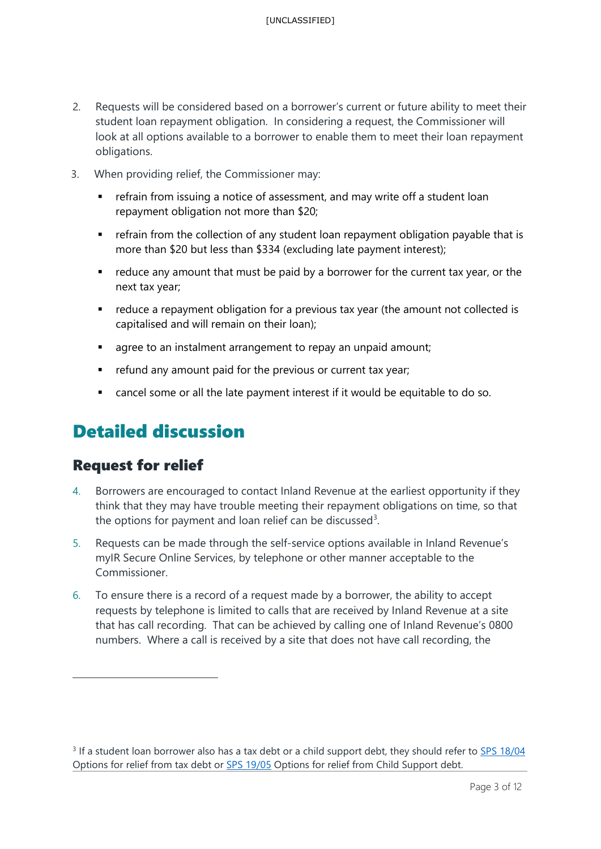- 2. Requests will be considered based on a borrower's current or future ability to meet their student loan repayment obligation. In considering a request, the Commissioner will look at all options available to a borrower to enable them to meet their loan repayment obligations.
- 3. When providing relief, the Commissioner may:
	- **F** refrain from issuing a notice of assessment, and may write off a student loan repayment obligation not more than \$20;
	- **Fig.** refrain from the collection of any student loan repayment obligation payable that is more than \$20 but less than \$334 (excluding late payment interest);
	- **•** reduce any amount that must be paid by a borrower for the current tax year, or the next tax year;
	- reduce a repayment obligation for a previous tax year (the amount not collected is capitalised and will remain on their loan);
	- **agree to an instalment arrangement to repay an unpaid amount;**
	- **F** refund any amount paid for the previous or current tax year;
	- cancel some or all the late payment interest if it would be equitable to do so.

## <span id="page-3-0"></span>Detailed discussion

### Request for relief

- 4. Borrowers are encouraged to contact Inland Revenue at the earliest opportunity if they think that they may have trouble meeting their repayment obligations on time, so that the options for payment and loan relief can be discussed<sup>[3](#page-3-1)</sup>.
- 5. Requests can be made through the self-service options available in Inland Revenue's myIR Secure Online Services, by telephone or other manner acceptable to the Commissioner.
- 6. To ensure there is a record of a request made by a borrower, the ability to accept requests by telephone is limited to calls that are received by Inland Revenue at a site that has call recording. That can be achieved by calling one of Inland Revenue's 0800 numbers. Where a call is received by a site that does not have call recording, the

<span id="page-3-1"></span><sup>&</sup>lt;sup>3</sup> If a student loan borrower also has a tax debt or a child support debt, they should refer to **SPS 18/04** Options for relief from tax debt or **SPS 19/05** Options for relief from Child Support debt.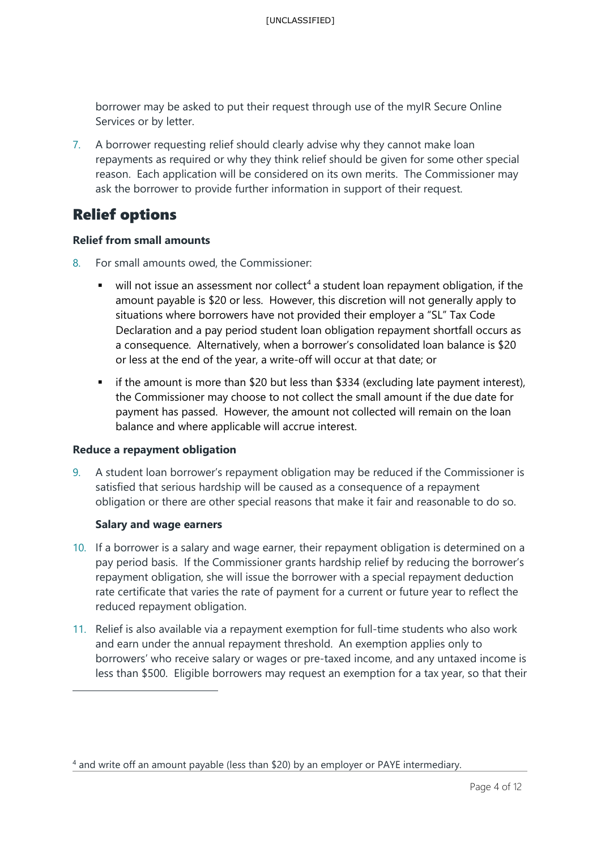borrower may be asked to put their request through use of the myIR Secure Online Services or by letter.

7. A borrower requesting relief should clearly advise why they cannot make loan repayments as required or why they think relief should be given for some other special reason. Each application will be considered on its own merits. The Commissioner may ask the borrower to provide further information in support of their request.

### Relief options

#### **Relief from small amounts**

- 8. For small amounts owed, the Commissioner:
	- $\bullet$  will not issue an assessment nor collect<sup>[4](#page-4-0)</sup> a student loan repayment obligation, if the amount payable is \$20 or less. However, this discretion will not generally apply to situations where borrowers have not provided their employer a "SL" Tax Code Declaration and a pay period student loan obligation repayment shortfall occurs as a consequence. Alternatively, when a borrower's consolidated loan balance is \$20 or less at the end of the year, a write-off will occur at that date; or
	- $\blacksquare$  if the amount is more than \$20 but less than \$334 (excluding late payment interest), the Commissioner may choose to not collect the small amount if the due date for payment has passed. However, the amount not collected will remain on the loan balance and where applicable will accrue interest.

#### **Reduce a repayment obligation**

9. A student loan borrower's repayment obligation may be reduced if the Commissioner is satisfied that serious hardship will be caused as a consequence of a repayment obligation or there are other special reasons that make it fair and reasonable to do so.

#### **Salary and wage earners**

- 10. If a borrower is a salary and wage earner, their repayment obligation is determined on a pay period basis. If the Commissioner grants hardship relief by reducing the borrower's repayment obligation, she will issue the borrower with a special repayment deduction rate certificate that varies the rate of payment for a current or future year to reflect the reduced repayment obligation.
- 11. Relief is also available via a repayment exemption for full-time students who also work and earn under the annual repayment threshold. An exemption applies only to borrowers' who receive salary or wages or pre-taxed income, and any untaxed income is less than \$500. Eligible borrowers may request an exemption for a tax year, so that their

<span id="page-4-0"></span><sup>4</sup> and write off an amount payable (less than \$20) by an employer or PAYE intermediary.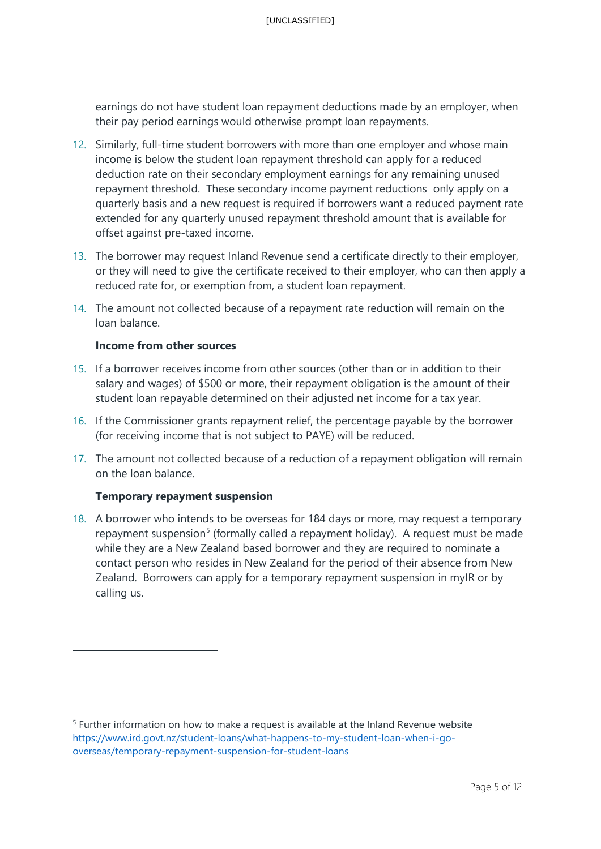earnings do not have student loan repayment deductions made by an employer, when their pay period earnings would otherwise prompt loan repayments.

- 12. Similarly, full-time student borrowers with more than one employer and whose main income is below the student loan repayment threshold can apply for a reduced deduction rate on their secondary employment earnings for any remaining unused repayment threshold. These secondary income payment reductions only apply on a quarterly basis and a new request is required if borrowers want a reduced payment rate extended for any quarterly unused repayment threshold amount that is available for offset against pre-taxed income.
- 13. The borrower may request Inland Revenue send a certificate directly to their employer, or they will need to give the certificate received to their employer, who can then apply a reduced rate for, or exemption from, a student loan repayment.
- 14. The amount not collected because of a repayment rate reduction will remain on the loan balance.

#### **Income from other sources**

- 15. If a borrower receives income from other sources (other than or in addition to their salary and wages) of \$500 or more, their repayment obligation is the amount of their student loan repayable determined on their adjusted net income for a tax year.
- 16. If the Commissioner grants repayment relief, the percentage payable by the borrower (for receiving income that is not subject to PAYE) will be reduced.
- 17. The amount not collected because of a reduction of a repayment obligation will remain on the loan balance.

#### **Temporary repayment suspension**

18. A borrower who intends to be overseas for 184 days or more, may request a temporary repayment suspension<sup>[5](#page-5-0)</sup> (formally called a repayment holiday). A request must be made while they are a New Zealand based borrower and they are required to nominate a contact person who resides in New Zealand for the period of their absence from New Zealand. Borrowers can apply for a temporary repayment suspension in myIR or by calling us.

<span id="page-5-0"></span><sup>5</sup> Further information on how to make a request is available at the Inland Revenue website [https://www.ird.govt.nz/student-loans/what-happens-to-my-student-loan-when-i-go](https://www.ird.govt.nz/student-loans/what-happens-to-my-student-loan-when-i-go-overseas/temporary-repayment-suspension-for-student-loans)[overseas/temporary-repayment-suspension-for-student-loans](https://www.ird.govt.nz/student-loans/what-happens-to-my-student-loan-when-i-go-overseas/temporary-repayment-suspension-for-student-loans)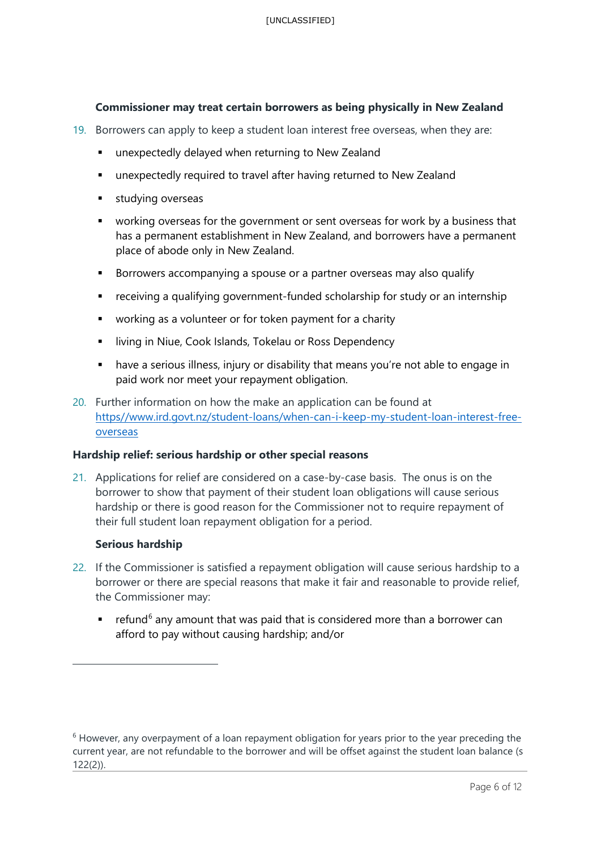#### **Commissioner may treat certain borrowers as being physically in New Zealand**

- 19. Borrowers can apply to keep a student loan interest free overseas, when they are:
	- **E** unexpectedly delayed when returning to New Zealand
	- **unexpectedly required to travel after having returned to New Zealand**
	- **studying overseas**
	- working overseas for the government or sent overseas for work by a business that has a permanent establishment in New Zealand, and borrowers have a permanent place of abode only in New Zealand.
	- **Borrowers accompanying a spouse or a partner overseas may also qualify**
	- receiving a qualifying government-funded scholarship for study or an internship
	- working as a volunteer or for token payment for a charity
	- **EXEDENT III III III** living in Niue, Cook Islands, Tokelau or Ross Dependency
	- have a serious illness, injury or disability that means you're not able to engage in paid work nor meet your repayment obligation.
- 20. Further information on how the make an application can be found at [https//www.ird.govt.nz/student-loans/when-can-i-keep-my-student-loan-interest-free](http://www.ird.govt.nz/student-loans/when-can-i-keep-my-student-loan-interest-free-overseas)[overseas](http://www.ird.govt.nz/student-loans/when-can-i-keep-my-student-loan-interest-free-overseas)

#### **Hardship relief: serious hardship or other special reasons**

21. Applications for relief are considered on a case-by-case basis. The onus is on the borrower to show that payment of their student loan obligations will cause serious hardship or there is good reason for the Commissioner not to require repayment of their full student loan repayment obligation for a period.

#### **Serious hardship**

- 22. If the Commissioner is satisfied a repayment obligation will cause serious hardship to a borrower or there are special reasons that make it fair and reasonable to provide relief, the Commissioner may:
	- **•** refund<sup>[6](#page-6-0)</sup> any amount that was paid that is considered more than a borrower can afford to pay without causing hardship; and/or

<span id="page-6-0"></span><sup>&</sup>lt;sup>6</sup> However, any overpayment of a loan repayment obligation for years prior to the year preceding the current year, are not refundable to the borrower and will be offset against the student loan balance (s 122(2)).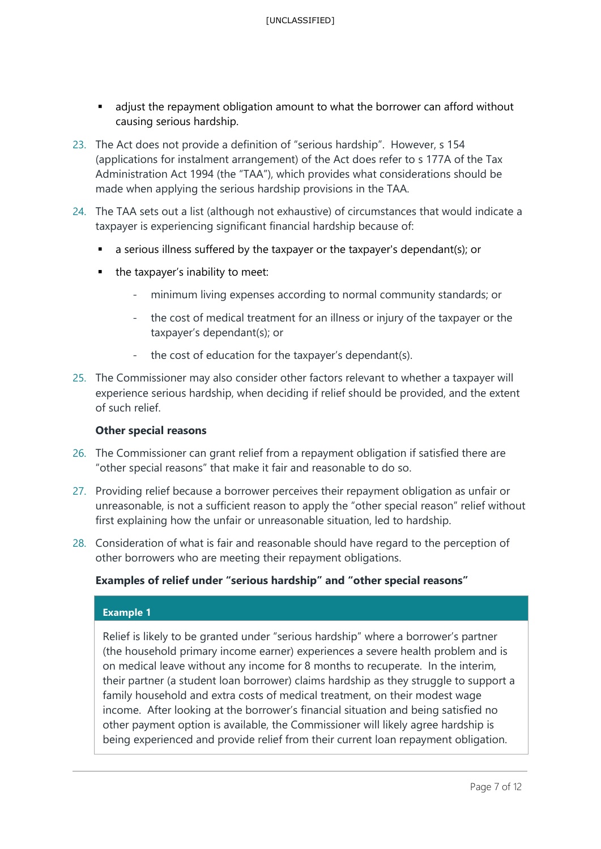- adjust the repayment obligation amount to what the borrower can afford without causing serious hardship.
- 23. The Act does not provide a definition of "serious hardship". However, s 154 (applications for instalment arrangement) of the Act does refer to s 177A of the Tax Administration Act 1994 (the "TAA"), which provides what considerations should be made when applying the serious hardship provisions in the TAA.
- 24. The TAA sets out a list (although not exhaustive) of circumstances that would indicate a taxpayer is experiencing significant financial hardship because of:
	- a serious illness suffered by the taxpayer or the taxpayer's dependant(s); or
	- the taxpayer's inability to meet:
		- minimum living expenses according to normal community standards; or
		- the cost of medical treatment for an illness or injury of the taxpayer or the taxpayer's dependant(s); or
		- the cost of education for the taxpayer's dependant(s).
- 25. The Commissioner may also consider other factors relevant to whether a taxpayer will experience serious hardship, when deciding if relief should be provided, and the extent of such relief.

#### **Other special reasons**

- 26. The Commissioner can grant relief from a repayment obligation if satisfied there are "other special reasons" that make it fair and reasonable to do so.
- 27. Providing relief because a borrower perceives their repayment obligation as unfair or unreasonable, is not a sufficient reason to apply the "other special reason" relief without first explaining how the unfair or unreasonable situation, led to hardship.
- 28. Consideration of what is fair and reasonable should have regard to the perception of other borrowers who are meeting their repayment obligations.

#### **Examples of relief under "serious hardship" and "other special reasons"**

#### **Example 1**

Relief is likely to be granted under "serious hardship" where a borrower's partner (the household primary income earner) experiences a severe health problem and is on medical leave without any income for 8 months to recuperate. In the interim, their partner (a student loan borrower) claims hardship as they struggle to support a family household and extra costs of medical treatment, on their modest wage income. After looking at the borrower's financial situation and being satisfied no other payment option is available, the Commissioner will likely agree hardship is being experienced and provide relief from their current loan repayment obligation.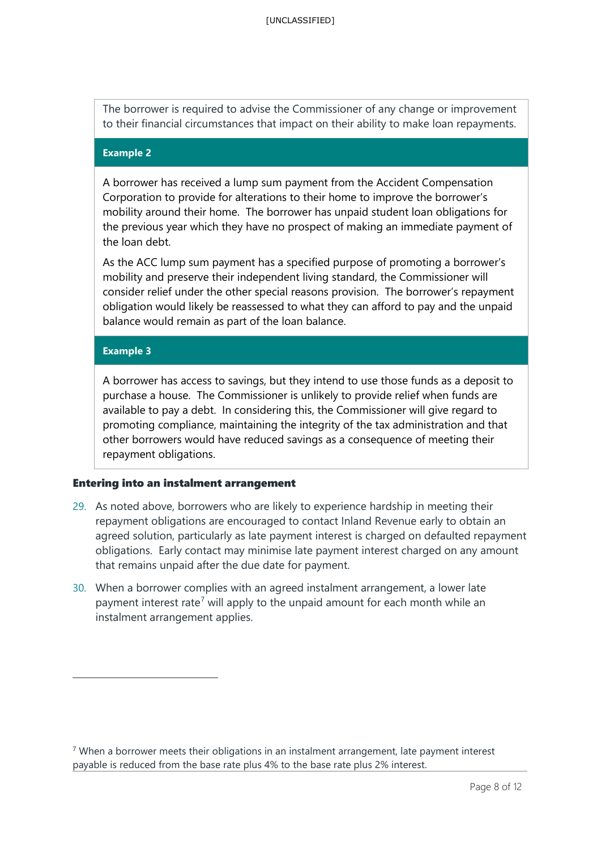The borrower is required to advise the Commissioner of any change or improvement to their financial circumstances that impact on their ability to make loan repayments.

#### **Example 2**

A borrower has received a lump sum payment from the Accident Compensation Corporation to provide for alterations to their home to improve the borrower's mobility around their home. The borrower has unpaid student loan obligations for the previous year which they have no prospect of making an immediate payment of the loan debt.

As the ACC lump sum payment has a specified purpose of promoting a borrower's mobility and preserve their independent living standard, the Commissioner will consider relief under the other special reasons provision. The borrower's repayment obligation would likely be reassessed to what they can afford to pay and the unpaid balance would remain as part of the loan balance.

#### **Example 3**

A borrower has access to savings, but they intend to use those funds as a deposit to purchase a house. The Commissioner is unlikely to provide relief when funds are available to pay a debt. In considering this, the Commissioner will give regard to promoting compliance, maintaining the integrity of the tax administration and that other borrowers would have reduced savings as a consequence of meeting their repayment obligations.

#### Entering into an instalment arrangement

- 29. As noted above, borrowers who are likely to experience hardship in meeting their repayment obligations are encouraged to contact Inland Revenue early to obtain an agreed solution, particularly as late payment interest is charged on defaulted repayment obligations. Early contact may minimise late payment interest charged on any amount that remains unpaid after the due date for payment.
- 30. When a borrower complies with an agreed instalment arrangement, a lower late payment interest rate<sup>[7](#page-8-0)</sup> will apply to the unpaid amount for each month while an instalment arrangement applies.

<span id="page-8-0"></span> $7$  When a borrower meets their obligations in an instalment arrangement, late payment interest payable is reduced from the base rate plus 4% to the base rate plus 2% interest.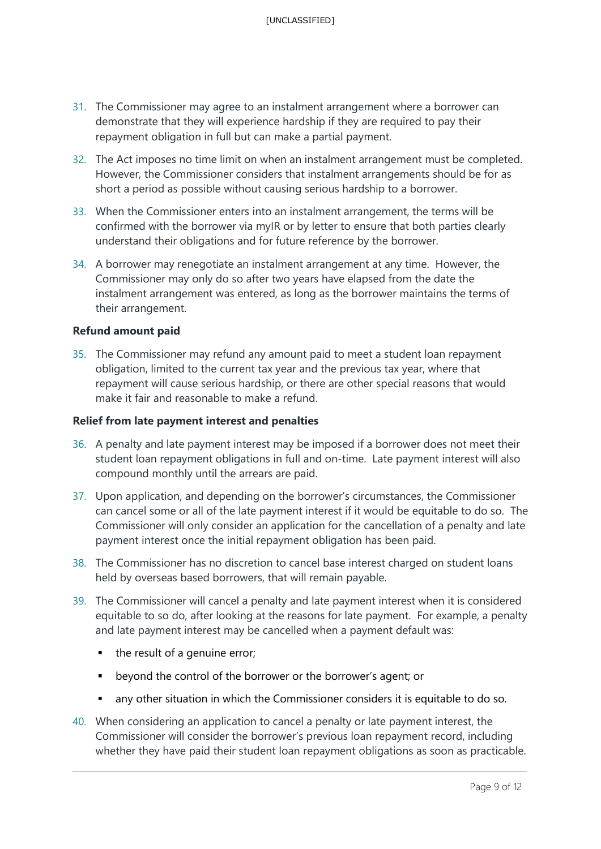- 31. The Commissioner may agree to an instalment arrangement where a borrower can demonstrate that they will experience hardship if they are required to pay their repayment obligation in full but can make a partial payment.
- 32. The Act imposes no time limit on when an instalment arrangement must be completed. However, the Commissioner considers that instalment arrangements should be for as short a period as possible without causing serious hardship to a borrower.
- 33. When the Commissioner enters into an instalment arrangement, the terms will be confirmed with the borrower via myIR or by letter to ensure that both parties clearly understand their obligations and for future reference by the borrower.
- 34. A borrower may renegotiate an instalment arrangement at any time. However, the Commissioner may only do so after two years have elapsed from the date the instalment arrangement was entered, as long as the borrower maintains the terms of their arrangement.

#### **Refund amount paid**

35. The Commissioner may refund any amount paid to meet a student loan repayment obligation, limited to the current tax year and the previous tax year, where that repayment will cause serious hardship, or there are other special reasons that would make it fair and reasonable to make a refund.

#### **Relief from late payment interest and penalties**

- 36. A penalty and late payment interest may be imposed if a borrower does not meet their student loan repayment obligations in full and on-time. Late payment interest will also compound monthly until the arrears are paid.
- 37. Upon application, and depending on the borrower's circumstances, the Commissioner can cancel some or all of the late payment interest if it would be equitable to do so. The Commissioner will only consider an application for the cancellation of a penalty and late payment interest once the initial repayment obligation has been paid.
- 38. The Commissioner has no discretion to cancel base interest charged on student loans held by overseas based borrowers, that will remain payable.
- 39. The Commissioner will cancel a penalty and late payment interest when it is considered equitable to so do, after looking at the reasons for late payment. For example, a penalty and late payment interest may be cancelled when a payment default was:
	- $\blacksquare$  the result of a genuine error;
	- **•** beyond the control of the borrower or the borrower's agent; or
	- any other situation in which the Commissioner considers it is equitable to do so.
- 40. When considering an application to cancel a penalty or late payment interest, the Commissioner will consider the borrower's previous loan repayment record, including whether they have paid their student loan repayment obligations as soon as practicable.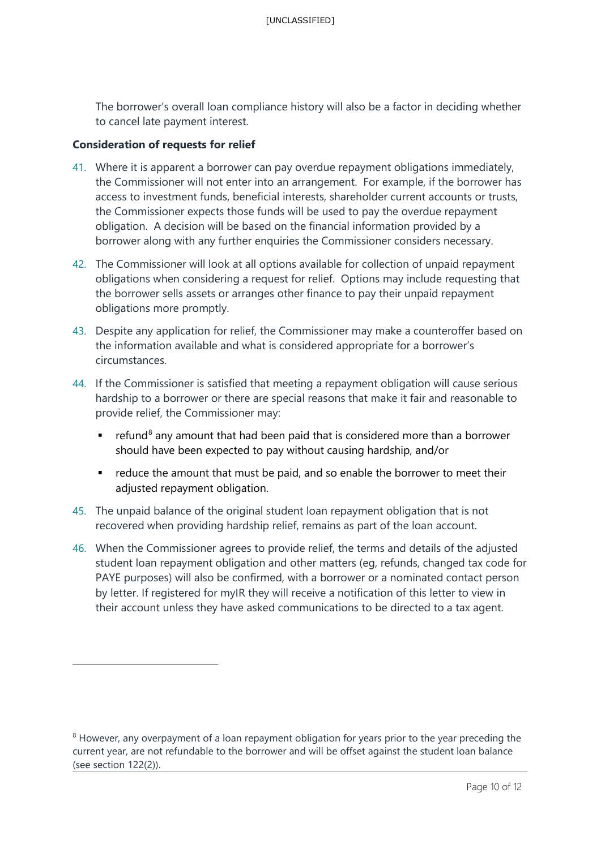The borrower's overall loan compliance history will also be a factor in deciding whether to cancel late payment interest.

#### **Consideration of requests for relief**

- 41. Where it is apparent a borrower can pay overdue repayment obligations immediately, the Commissioner will not enter into an arrangement. For example, if the borrower has access to investment funds, beneficial interests, shareholder current accounts or trusts, the Commissioner expects those funds will be used to pay the overdue repayment obligation. A decision will be based on the financial information provided by a borrower along with any further enquiries the Commissioner considers necessary.
- 42. The Commissioner will look at all options available for collection of unpaid repayment obligations when considering a request for relief. Options may include requesting that the borrower sells assets or arranges other finance to pay their unpaid repayment obligations more promptly.
- 43. Despite any application for relief, the Commissioner may make a counteroffer based on the information available and what is considered appropriate for a borrower's circumstances.
- 44. If the Commissioner is satisfied that meeting a repayment obligation will cause serious hardship to a borrower or there are special reasons that make it fair and reasonable to provide relief, the Commissioner may:
	- **•** refund<sup>[8](#page-10-0)</sup> any amount that had been paid that is considered more than a borrower should have been expected to pay without causing hardship, and/or
	- **•** reduce the amount that must be paid, and so enable the borrower to meet their adjusted repayment obligation.
- 45. The unpaid balance of the original student loan repayment obligation that is not recovered when providing hardship relief, remains as part of the loan account.
- 46. When the Commissioner agrees to provide relief, the terms and details of the adjusted student loan repayment obligation and other matters (eg, refunds, changed tax code for PAYE purposes) will also be confirmed, with a borrower or a nominated contact person by letter. If registered for myIR they will receive a notification of this letter to view in their account unless they have asked communications to be directed to a tax agent.

<span id="page-10-0"></span><sup>&</sup>lt;sup>8</sup> However, any overpayment of a loan repayment obligation for years prior to the year preceding the current year, are not refundable to the borrower and will be offset against the student loan balance (see section 122(2)).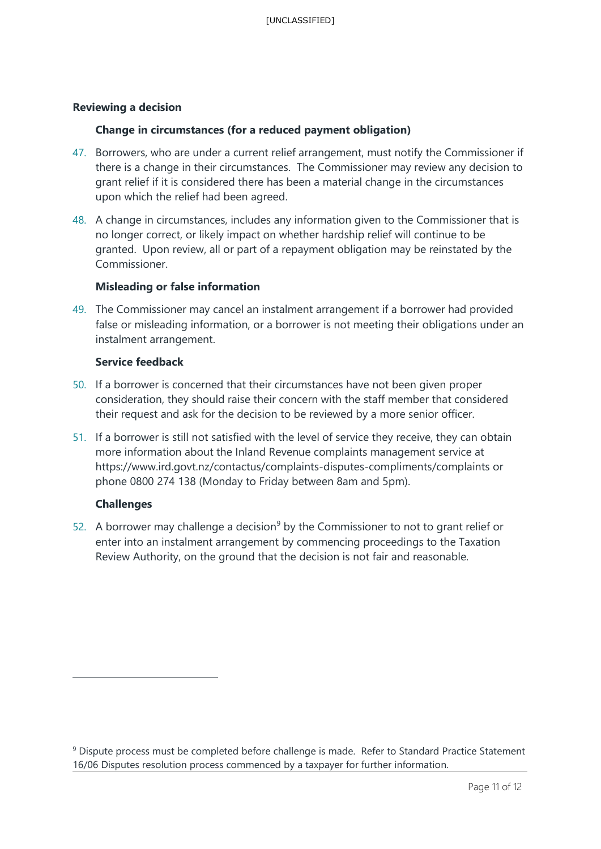#### **Reviewing a decision**

#### **Change in circumstances (for a reduced payment obligation)**

- 47. Borrowers, who are under a current relief arrangement, must notify the Commissioner if there is a change in their circumstances. The Commissioner may review any decision to grant relief if it is considered there has been a material change in the circumstances upon which the relief had been agreed.
- 48. A change in circumstances, includes any information given to the Commissioner that is no longer correct, or likely impact on whether hardship relief will continue to be granted. Upon review, all or part of a repayment obligation may be reinstated by the Commissioner.

#### **Misleading or false information**

49. The Commissioner may cancel an instalment arrangement if a borrower had provided false or misleading information, or a borrower is not meeting their obligations under an instalment arrangement.

#### **Service feedback**

- 50. If a borrower is concerned that their circumstances have not been given proper consideration, they should raise their concern with the staff member that considered their request and ask for the decision to be reviewed by a more senior officer.
- 51. If a borrower is still not satisfied with the level of service they receive, they can obtain more information about the Inland Revenue complaints management service at https://www.ird.govt.nz/contactus/complaints-disputes-compliments/complaints or phone 0800 274 138 (Monday to Friday between 8am and 5pm).

#### **Challenges**

52. A borrower may challenge a decision<sup>[9](#page-11-0)</sup> by the Commissioner to not to grant relief or enter into an instalment arrangement by commencing proceedings to the Taxation Review Authority, on the ground that the decision is not fair and reasonable.

<span id="page-11-0"></span><sup>&</sup>lt;sup>9</sup> Dispute process must be completed before challenge is made. Refer to Standard Practice Statement 16/06 Disputes resolution process commenced by a taxpayer for further information.